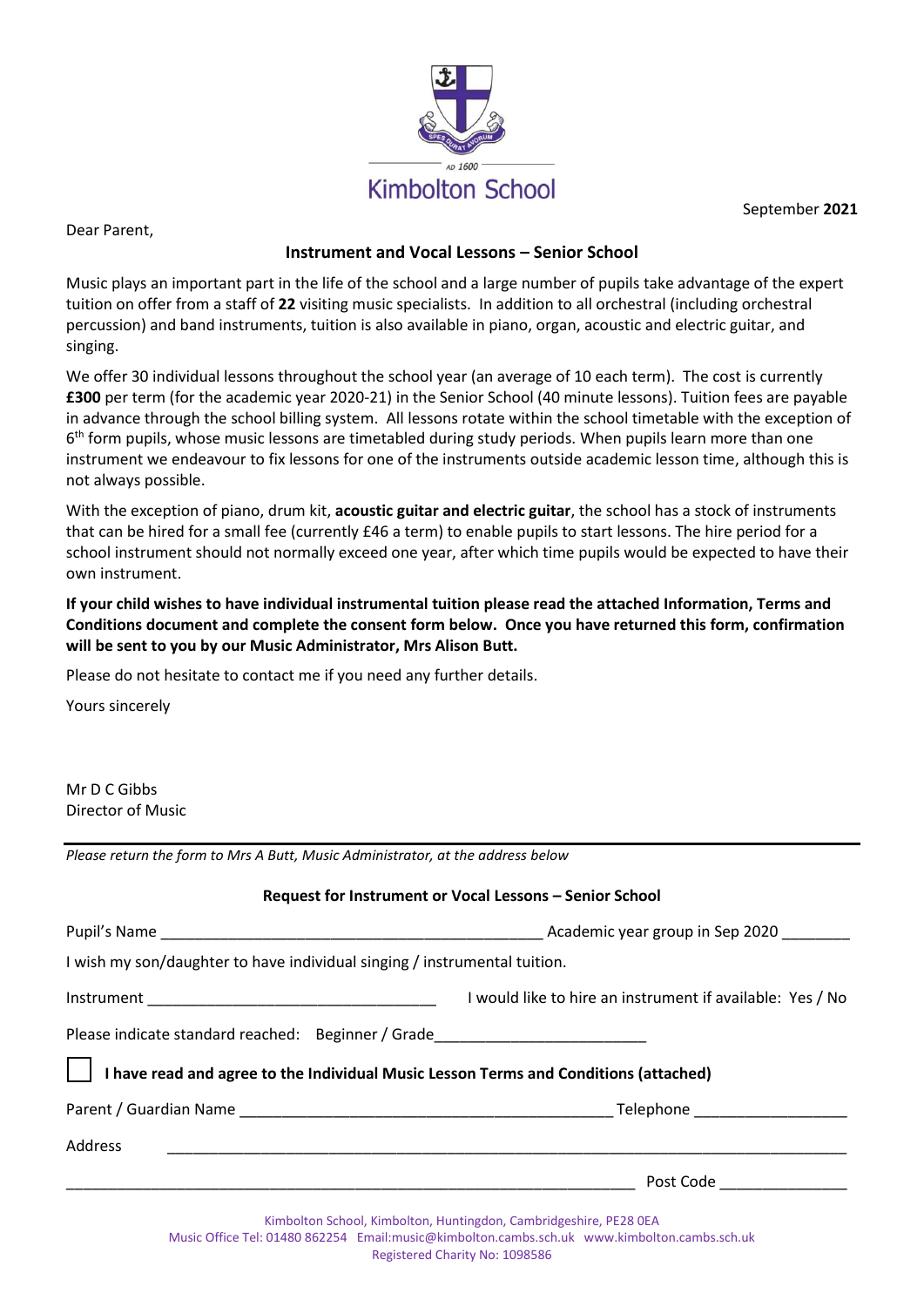

September **2021**

Dear Parent,

# **Instrument and Vocal Lessons – Senior School**

Music plays an important part in the life of the school and a large number of pupils take advantage of the expert tuition on offer from a staff of **22** visiting music specialists. In addition to all orchestral (including orchestral percussion) and band instruments, tuition is also available in piano, organ, acoustic and electric guitar, and singing.

We offer 30 individual lessons throughout the school year (an average of 10 each term). The cost is currently **£300** per term (for the academic year 2020-21) in the Senior School (40 minute lessons). Tuition fees are payable in advance through the school billing system. All lessons rotate within the school timetable with the exception of 6<sup>th</sup> form pupils, whose music lessons are timetabled during study periods. When pupils learn more than one instrument we endeavour to fix lessons for one of the instruments outside academic lesson time, although this is not always possible.

With the exception of piano, drum kit, **acoustic guitar and electric guitar**, the school has a stock of instruments that can be hired for a small fee (currently £46 a term) to enable pupils to start lessons. The hire period for a school instrument should not normally exceed one year, after which time pupils would be expected to have their own instrument.

**If your child wishes to have individual instrumental tuition please read the attached Information, Terms and Conditions document and complete the consent form below. Once you have returned this form, confirmation will be sent to you by our Music Administrator, Mrs Alison Butt.**

Please do not hesitate to contact me if you need any further details.

Yours sincerely

Mr D C Gibbs Director of Music

*Please return the form to Mrs A Butt, Music Administrator, at the address below*

| Request for Instrument or Vocal Lessons - Senior School                                      |                                                           |
|----------------------------------------------------------------------------------------------|-----------------------------------------------------------|
|                                                                                              |                                                           |
| I wish my son/daughter to have individual singing / instrumental tuition.                    |                                                           |
|                                                                                              | I would like to hire an instrument if available: Yes / No |
| Please indicate standard reached: Beginner / Grade______________________________             |                                                           |
| $\vert$ I have read and agree to the Individual Music Lesson Terms and Conditions (attached) |                                                           |
|                                                                                              |                                                           |
| Address                                                                                      |                                                           |
|                                                                                              | Post Code                                                 |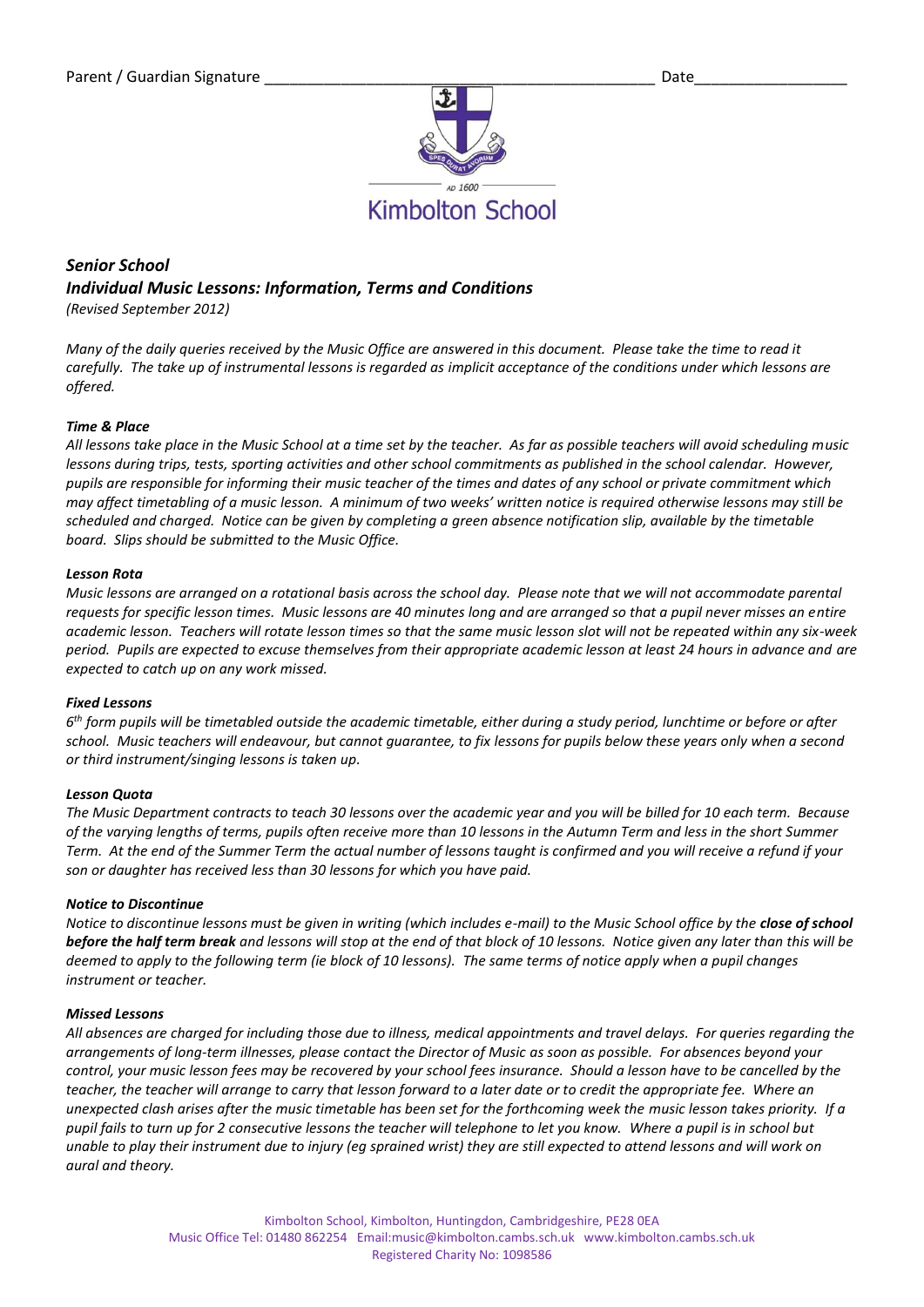

# *Senior School Individual Music Lessons: Information, Terms and Conditions (Revised September 2012)*

*Many of the daily queries received by the Music Office are answered in this document. Please take the time to read it carefully. The take up of instrumental lessons is regarded as implicit acceptance of the conditions under which lessons are offered.*

# *Time & Place*

*All lessons take place in the Music School at a time set by the teacher. As far as possible teachers will avoid scheduling music lessons during trips, tests, sporting activities and other school commitments as published in the school calendar. However, pupils are responsible for informing their music teacher of the times and dates of any school or private commitment which may affect timetabling of a music lesson. A minimum of two weeks' written notice is required otherwise lessons may still be scheduled and charged. Notice can be given by completing a green absence notification slip, available by the timetable board. Slips should be submitted to the Music Office.*

#### *Lesson Rota*

*Music lessons are arranged on a rotational basis across the school day. Please note that we will not accommodate parental requests for specific lesson times. Music lessons are 40 minutes long and are arranged so that a pupil never misses an entire academic lesson. Teachers will rotate lesson times so that the same music lesson slot will not be repeated within any six-week period. Pupils are expected to excuse themselves from their appropriate academic lesson at least 24 hours in advance and are expected to catch up on any work missed.* 

# *Fixed Lessons*

*6 th form pupils will be timetabled outside the academic timetable, either during a study period, lunchtime or before or after school. Music teachers will endeavour, but cannot guarantee, to fix lessons for pupils below these years only when a second or third instrument/singing lessons is taken up.* 

# *Lesson Quota*

*The Music Department contracts to teach 30 lessons over the academic year and you will be billed for 10 each term. Because of the varying lengths of terms, pupils often receive more than 10 lessons in the Autumn Term and less in the short Summer Term. At the end of the Summer Term the actual number of lessons taught is confirmed and you will receive a refund if your son or daughter has received less than 30 lessons for which you have paid.*

#### *Notice to Discontinue*

*Notice to discontinue lessons must be given in writing (which includes e-mail) to the Music School office by the close of school before the half term break and lessons will stop at the end of that block of 10 lessons. Notice given any later than this will be deemed to apply to the following term (ie block of 10 lessons). The same terms of notice apply when a pupil changes instrument or teacher.*

#### *Missed Lessons*

*All absences are charged for including those due to illness, medical appointments and travel delays. For queries regarding the arrangements of long-term illnesses, please contact the Director of Music as soon as possible. For absences beyond your control, your music lesson fees may be recovered by your school fees insurance. Should a lesson have to be cancelled by the teacher, the teacher will arrange to carry that lesson forward to a later date or to credit the appropriate fee. Where an unexpected clash arises after the music timetable has been set for the forthcoming week the music lesson takes priority. If a pupil fails to turn up for 2 consecutive lessons the teacher will telephone to let you know. Where a pupil is in school but unable to play their instrument due to injury (eg sprained wrist) they are still expected to attend lessons and will work on aural and theory.*